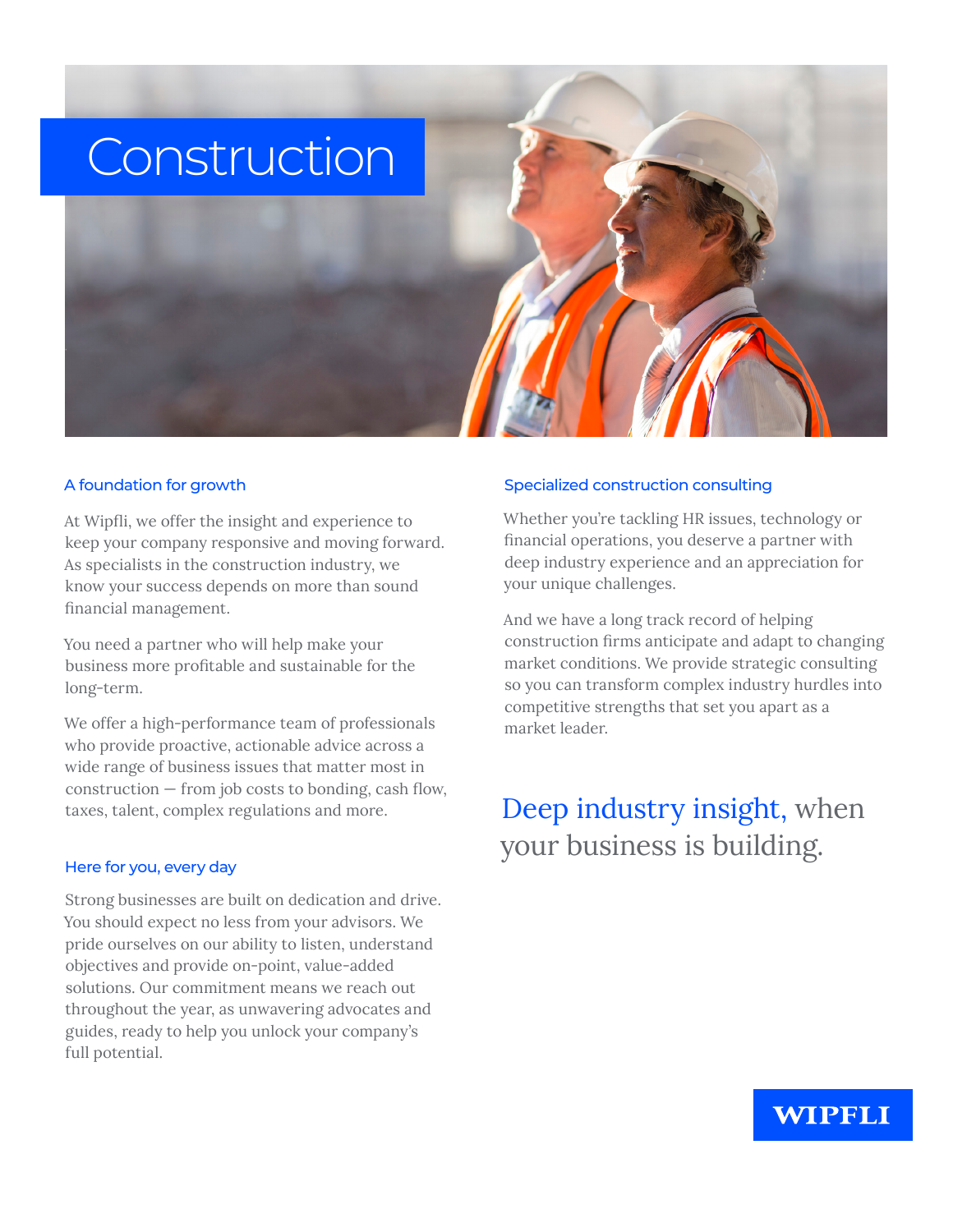

#### A foundation for growth

At Wipfli, we offer the insight and experience to keep your company responsive and moving forward. As specialists in the construction industry, we know your success depends on more than sound financial management.

You need a partner who will help make your business more profitable and sustainable for the long-term.

We offer a high-performance team of professionals who provide proactive, actionable advice across a wide range of business issues that matter most in construction — from job costs to bonding, cash flow, taxes, talent, complex regulations and more.

#### Here for you, every day

Strong businesses are built on dedication and drive. You should expect no less from your advisors. We pride ourselves on our ability to listen, understand objectives and provide on-point, value-added solutions. Our commitment means we reach out throughout the year, as unwavering advocates and guides, ready to help you unlock your company's full potential.

#### Specialized construction consulting

Whether you're tackling HR issues, technology or financial operations, you deserve a partner with deep industry experience and an appreciation for your unique challenges.

And we have a long track record of helping construction firms anticipate and adapt to changing market conditions. We provide strategic consulting so you can transform complex industry hurdles into competitive strengths that set you apart as a market leader.

# Deep industry insight, when your business is building.

### WIPFLI